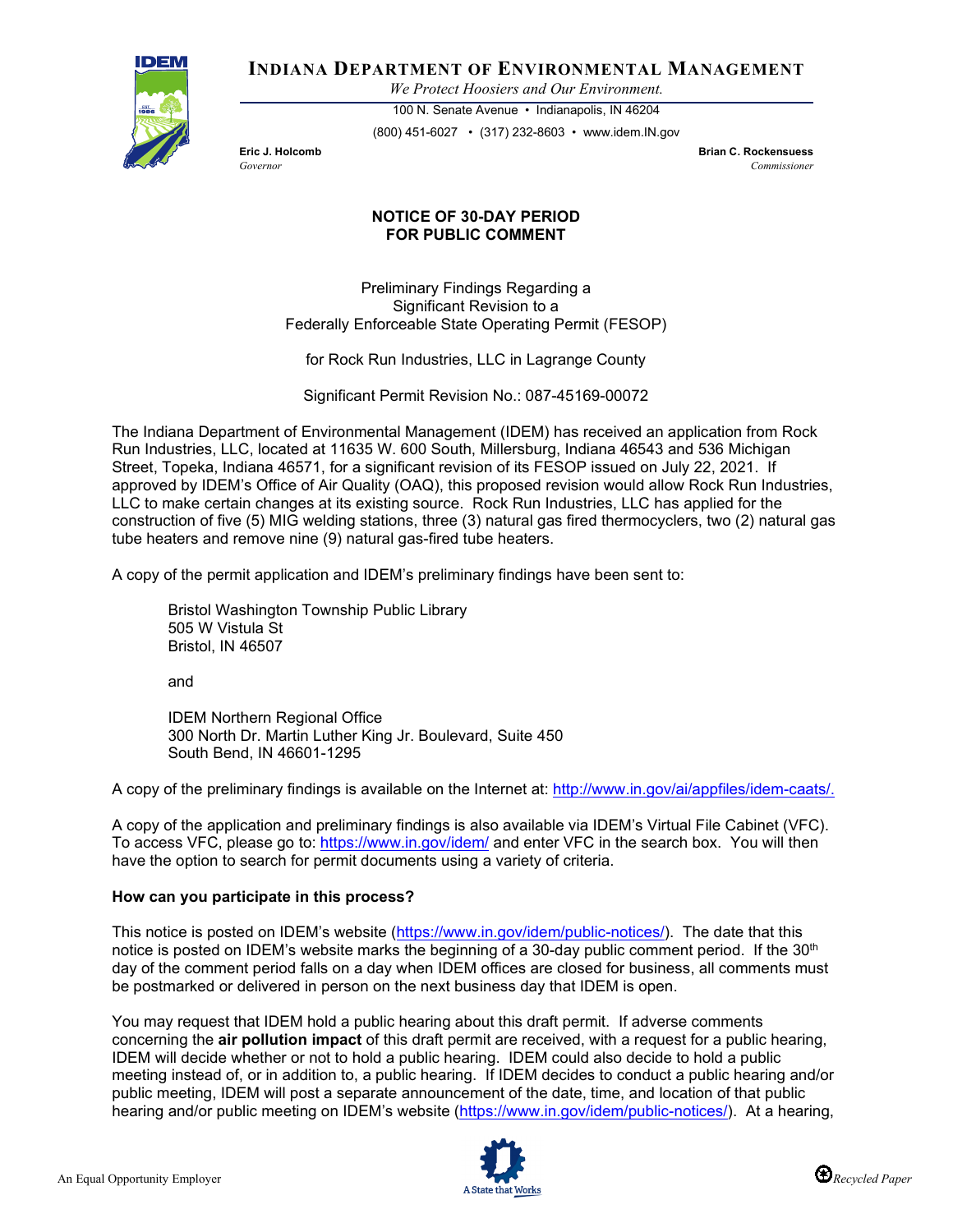

**INDIANA DEPARTMENT OF ENVIRONMENTAL MANAGEMENT**

*We Protect Hoosiers and Our Environment.*

100 N. Senate Avenue • Indianapolis, IN 46204 (800) 451-6027 • (317) 232-8603 • www.idem.IN.gov

**Eric J. Holcomb Brian C. Rockensuess** *Governor Commissioner* 

## **NOTICE OF 30-DAY PERIOD FOR PUBLIC COMMENT**

Preliminary Findings Regarding a Significant Revision to a Federally Enforceable State Operating Permit (FESOP)

for Rock Run Industries, LLC in Lagrange County

Significant Permit Revision No.: 087-45169-00072

The Indiana Department of Environmental Management (IDEM) has received an application from Rock Run Industries, LLC, located at 11635 W. 600 South, Millersburg, Indiana 46543 and 536 Michigan Street, Topeka, Indiana 46571, for a significant revision of its FESOP issued on July 22, 2021. If approved by IDEM's Office of Air Quality (OAQ), this proposed revision would allow Rock Run Industries, LLC to make certain changes at its existing source. Rock Run Industries, LLC has applied for the construction of five (5) MIG welding stations, three (3) natural gas fired thermocyclers, two (2) natural gas tube heaters and remove nine (9) natural gas-fired tube heaters.

A copy of the permit application and IDEM's preliminary findings have been sent to:

Bristol Washington Township Public Library 505 W Vistula St Bristol, IN 46507

and

IDEM Northern Regional Office 300 North Dr. Martin Luther King Jr. Boulevard, Suite 450 South Bend, IN 46601-1295

A copy of the preliminary findings is available on the Internet at: [http://www.in.gov/ai/appfiles/idem-caats/.](http://www.in.gov/ai/appfiles/idem-caats/)

A copy of the application and preliminary findings is also available via IDEM's Virtual File Cabinet (VFC). To access VFC, please go to:<https://www.in.gov/idem/> and enter VFC in the search box. You will then have the option to search for permit documents using a variety of criteria.

## **How can you participate in this process?**

This notice is posted on IDEM's website [\(https://www.in.gov/idem/public-notices/\)](https://www.in.gov/idem/public-notices/). The date that this notice is posted on IDEM's website marks the beginning of a 30-day public comment period. If the 30<sup>th</sup> day of the comment period falls on a day when IDEM offices are closed for business, all comments must be postmarked or delivered in person on the next business day that IDEM is open.

You may request that IDEM hold a public hearing about this draft permit. If adverse comments concerning the **air pollution impact** of this draft permit are received, with a request for a public hearing, IDEM will decide whether or not to hold a public hearing. IDEM could also decide to hold a public meeting instead of, or in addition to, a public hearing. If IDEM decides to conduct a public hearing and/or public meeting, IDEM will post a separate announcement of the date, time, and location of that public hearing and/or public meeting on IDEM's website [\(https://www.in.gov/idem/public-notices/\)](https://www.in.gov/idem/public-notices/). At a hearing,